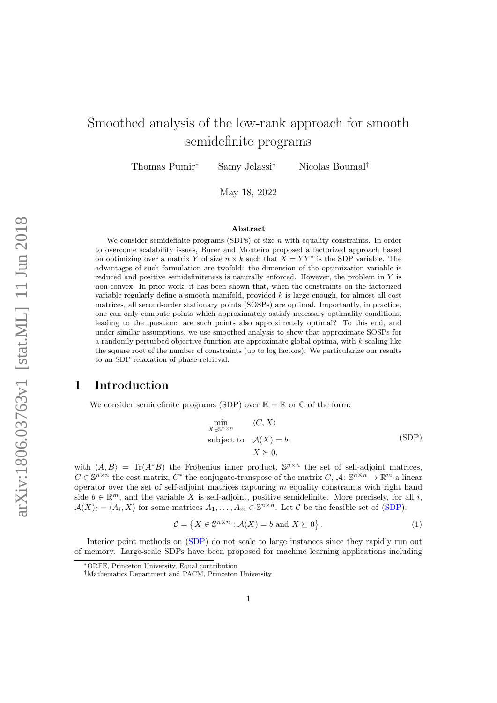# Smoothed analysis of the low-rank approach for smooth semidefinite programs

Thomas Pumir<sup>∗</sup> Samy Jelassi<sup>∗</sup> Nicolas Boumal†

May 18, 2022

#### Abstract

We consider semidefinite programs (SDPs) of size  $n$  with equality constraints. In order to overcome scalability issues, Burer and Monteiro proposed a factorized approach based on optimizing over a matrix Y of size  $n \times k$  such that  $X = YY^*$  is the SDP variable. The advantages of such formulation are twofold: the dimension of the optimization variable is reduced and positive semidefiniteness is naturally enforced. However, the problem in  $Y$  is non-convex. In prior work, it has been shown that, when the constraints on the factorized variable regularly define a smooth manifold, provided  $k$  is large enough, for almost all cost matrices, all second-order stationary points (SOSPs) are optimal. Importantly, in practice, one can only compute points which approximately satisfy necessary optimality conditions, leading to the question: are such points also approximately optimal? To this end, and under similar assumptions, we use smoothed analysis to show that approximate SOSPs for a randomly perturbed objective function are approximate global optima, with k scaling like the square root of the number of constraints (up to log factors). We particularize our results to an SDP relaxation of phase retrieval.

### 1 Introduction

We consider semidefinite programs (SDP) over  $\mathbb{K} = \mathbb{R}$  or  $\mathbb{C}$  of the form:

<span id="page-0-0"></span>
$$
\min_{X \in \mathbb{S}^{n \times n}} \langle C, X \rangle
$$
\n
$$
\text{subject to} \quad \mathcal{A}(X) = b,
$$
\n
$$
X \succeq 0,
$$
\n
$$
(SDP)
$$

with  $\langle A, B \rangle = \text{Tr}(A^*B)$  the Frobenius inner product,  $\mathbb{S}^{n \times n}$  the set of self-adjoint matrices,  $C \in \mathbb{S}^{n \times n}$  the cost matrix,  $C^*$  the conjugate-transpose of the matrix  $C, \mathcal{A}: \mathbb{S}^{n \times n} \to \mathbb{R}^m$  a linear operator over the set of self-adjoint matrices capturing  $m$  equality constraints with right hand side  $b \in \mathbb{R}^m$ , and the variable X is self-adjoint, positive semidefinite. More precisely, for all i,  $\mathcal{A}(X)_i = \langle A_i, X \rangle$  for some matrices  $A_1, \ldots, A_m \in \mathbb{S}^{n \times n}$ . Let C be the feasible set of [\(SDP\)](#page-0-0):

$$
\mathcal{C} = \{ X \in \mathbb{S}^{n \times n} : \mathcal{A}(X) = b \text{ and } X \succeq 0 \}.
$$
 (1)

Interior point methods on [\(SDP\)](#page-0-0) do not scale to large instances since they rapidly run out of memory. Large-scale SDPs have been proposed for machine learning applications including

<sup>∗</sup>ORFE, Princeton University, Equal contribution

<sup>†</sup>Mathematics Department and PACM, Princeton University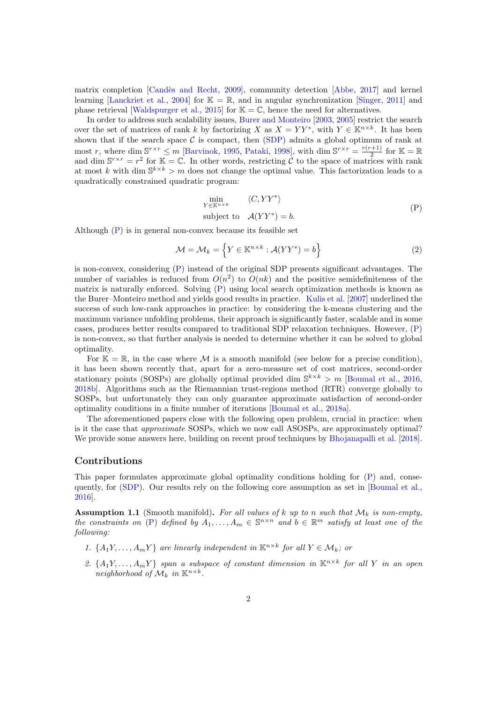matrix completion [Candès and Recht, [2009\]](#page-10-0), community detection [\[Abbe,](#page-10-1) [2017\]](#page-10-1) and kernel learning [\[Lanckriet et al.,](#page-11-0) [2004\]](#page-11-0) for  $\mathbb{K} = \mathbb{R}$ , and in angular synchronization [\[Singer,](#page-11-1) [2011\]](#page-11-1) and phase retrieval [\[Waldspurger et al.,](#page-11-2) [2015\]](#page-11-2) for  $\mathbb{K} = \mathbb{C}$ , hence the need for alternatives.

In order to address such scalability issues, [Burer and Monteiro](#page-10-2) [\[2003,](#page-10-2) [2005\]](#page-10-3) restrict the search over the set of matrices of rank k by factorizing X as  $X = YY^*$ , with  $Y \in \mathbb{K}^{n \times k}$ . It has been shown that if the search space  $C$  is compact, then  $(SDP)$  admits a global optimum of rank at most r, where dim  $S^{r \times r} \leq m$  [\[Barvinok,](#page-10-4) [1995,](#page-10-4) [Pataki,](#page-11-3) [1998\]](#page-11-3), with dim  $S^{r \times r} = \frac{r(r+1)}{2}$  $\frac{(-1)^{n+1}}{2}$  for  $\mathbb{K} = \mathbb{R}$ and dim  $\mathbb{S}^{r\times r} = r^2$  for  $\mathbb{K} = \mathbb{C}$ . In other words, restricting C to the space of matrices with rank at most k with dim  $\mathbb{S}^{k\times k} > m$  does not change the optimal value. This factorization leads to a quadratically constrained quadratic program:

<span id="page-1-0"></span>
$$
\min_{Y \in \mathbb{K}^{n \times k}} \langle C, YY^* \rangle
$$
\nsubject to  $\mathcal{A}(YY^*) = b.$  (P)

Although [\(P\)](#page-1-0) is in general non-convex because its feasible set

$$
\mathcal{M} = \mathcal{M}_k = \left\{ Y \in \mathbb{K}^{n \times k} : \mathcal{A}(YY^*) = b \right\}
$$
 (2)

is non-convex, considering [\(P\)](#page-1-0) instead of the original SDP presents significant advantages. The number of variables is reduced from  $O(n^2)$  to  $O(nk)$  and the positive semidefiniteness of the matrix is naturally enforced. Solving [\(P\)](#page-1-0) using local search optimization methods is known as the Burer–Monteiro method and yields good results in practice. [Kulis et al.](#page-11-4) [\[2007\]](#page-11-4) underlined the success of such low-rank approaches in practice: by considering the k-means clustering and the maximum variance unfolding problems, their approach is significantly faster, scalable and in some cases, produces better results compared to traditional SDP relaxation techniques. However, [\(P\)](#page-1-0) is non-convex, so that further analysis is needed to determine whether it can be solved to global optimality.

For  $\mathbb{K} = \mathbb{R}$ , in the case where M is a smooth manifold (see below for a precise condition), it has been shown recently that, apart for a zero-measure set of cost matrices, second-order stationary points (SOSPs) are globally optimal provided dim  $\mathbb{S}^{k \times k} > m$  [\[Boumal et al.,](#page-10-5) [2016,](#page-10-5) [2018b\]](#page-10-6). Algorithms such as the Riemannian trust-regions method (RTR) converge globally to SOSPs, but unfortunately they can only guarantee approximate satisfaction of second-order optimality conditions in a finite number of iterations [\[Boumal et al.,](#page-10-7) [2018a\]](#page-10-7).

The aforementioned papers close with the following open problem, crucial in practice: when is it the case that approximate SOSPs, which we now call ASOSPs, are approximately optimal? We provide some answers here, building on recent proof techniques by [Bhojanapalli et al.](#page-10-8) [\[2018\]](#page-10-8).

#### Contributions

This paper formulates approximate global optimality conditions holding for [\(P\)](#page-1-0) and, conse-quently, for [\(SDP\)](#page-0-0). Our results rely on the following core assumption as set in [\[Boumal et al.,](#page-10-5) [2016\]](#page-10-5).

<span id="page-1-1"></span>**Assumption 1.1** (Smooth manifold). For all values of k up to n such that  $\mathcal{M}_k$  is non-empty, the constraints on [\(P\)](#page-1-0) defined by  $A_1, \ldots, A_m \in \mathbb{S}^{n \times n}$  and  $b \in \mathbb{R}^m$  satisfy at least one of the following:

- 1.  $\{A_1Y, \ldots, A_mY\}$  are linearly independent in  $\mathbb{K}^{n \times k}$  for all  $Y \in \mathcal{M}_k$ ; or
- 2.  $\{A_1Y, \ldots, A_mY\}$  span a subspace of constant dimension in  $\mathbb{K}^{n \times k}$  for all Y in an open neighborhood of  $\mathcal{M}_k$  in  $\mathbb{K}^{n\times k}$ .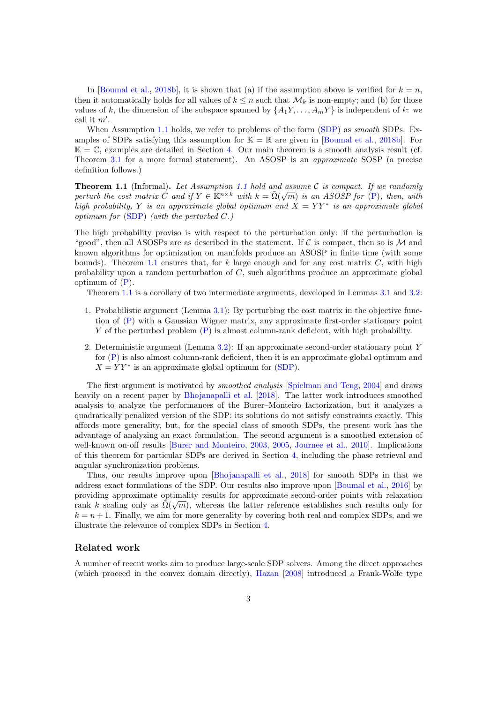In [\[Boumal et al.,](#page-10-6) [2018b\]](#page-10-6), it is shown that (a) if the assumption above is verified for  $k = n$ , then it automatically holds for all values of  $k \leq n$  such that  $\mathcal{M}_k$  is non-empty; and (b) for those values of k, the dimension of the subspace spanned by  $\{A_1Y, \ldots, A_mY\}$  is independent of k: we call it  $m'$ .

When Assumption [1.1](#page-1-1) holds, we refer to problems of the form [\(SDP\)](#page-0-0) as *smooth* SDPs. Examples of SDPs satisfying this assumption for  $\mathbb{K} = \mathbb{R}$  are given in [\[Boumal et al.,](#page-10-6) [2018b\]](#page-10-6). For  $\mathbb{K} = \mathbb{C}$ , examples are detailed in Section [4.](#page-7-0) Our main theorem is a smooth analysis result (cf. Theorem [3.1](#page-6-0) for a more formal statement). An ASOSP is an approximate SOSP (a precise definition follows.)

<span id="page-2-0"></span>**Theorem [1.1](#page-1-1)** (Informal). Let Assumption 1.1 hold and assume C is compact. If we randomly perturb the cost matrix  $C$  and if  $Y \in \mathbb{K}^{n \times k}$  with  $k = \tilde{\Omega}(\sqrt{m})$  is an ASOSP for [\(P\)](#page-1-0), then, with high probability, Y is an approximate global optimum and  $X = YY^*$  is an approximate global optimum for  $(SDP)$  (with the perturbed C.)

The high probability proviso is with respect to the perturbation only: if the perturbation is "good", then all ASOSPs are as described in the statement. If C is compact, then so is  $\mathcal M$  and known algorithms for optimization on manifolds produce an ASOSP in finite time (with some bounds). Theorem [1.1](#page-2-0) ensures that, for  $k$  large enough and for any cost matrix  $C$ , with high probability upon a random perturbation of C, such algorithms produce an approximate global optimum of  $(P)$ .

Theorem [1.1](#page-2-0) is a corollary of two intermediate arguments, developed in Lemmas [3.1](#page-6-1) and [3.2:](#page-7-1)

- 1. Probabilistic argument (Lemma [3.1\)](#page-6-1): By perturbing the cost matrix in the objective function of [\(P\)](#page-1-0) with a Gaussian Wigner matrix, any approximate first-order stationary point Y of the perturbed problem [\(P\)](#page-1-0) is almost column-rank deficient, with high probability.
- 2. Deterministic argument (Lemma [3.2\)](#page-7-1): If an approximate second-order stationary point Y for [\(P\)](#page-1-0) is also almost column-rank deficient, then it is an approximate global optimum and  $X = YY^*$  is an approximate global optimum for [\(SDP\)](#page-0-0).

The first argument is motivated by smoothed analysis [\[Spielman and Teng,](#page-11-5) [2004\]](#page-11-5) and draws heavily on a recent paper by [Bhojanapalli et al.](#page-10-8) [\[2018\]](#page-10-8). The latter work introduces smoothed analysis to analyze the performances of the Burer–Monteiro factorization, but it analyzes a quadratically penalized version of the SDP: its solutions do not satisfy constraints exactly. This affords more generality, but, for the special class of smooth SDPs, the present work has the advantage of analyzing an exact formulation. The second argument is a smoothed extension of well-known on-off results [\[Burer and Monteiro,](#page-10-2) [2003,](#page-10-2) [2005,](#page-10-3) [Journee et al.,](#page-11-6) [2010\]](#page-11-6). Implications of this theorem for particular SDPs are derived in Section [4,](#page-7-0) including the phase retrieval and angular synchronization problems.

Thus, our results improve upon [\[Bhojanapalli et al.,](#page-10-8) [2018\]](#page-10-8) for smooth SDPs in that we address exact formulations of the SDP. Our results also improve upon [\[Boumal et al.,](#page-10-5) [2016\]](#page-10-5) by providing approximate optimality results for approximate second-order points with relaxation rank k scaling only as  $\tilde{\Omega}(\sqrt{m})$ , whereas the latter reference establishes such results only for  $k = n + 1$ . Finally, we aim for more generality by covering both real and complex SDPs, and we illustrate the relevance of complex SDPs in Section [4.](#page-7-0)

#### Related work

A number of recent works aim to produce large-scale SDP solvers. Among the direct approaches (which proceed in the convex domain directly), [Hazan](#page-11-7) [\[2008\]](#page-11-7) introduced a Frank-Wolfe type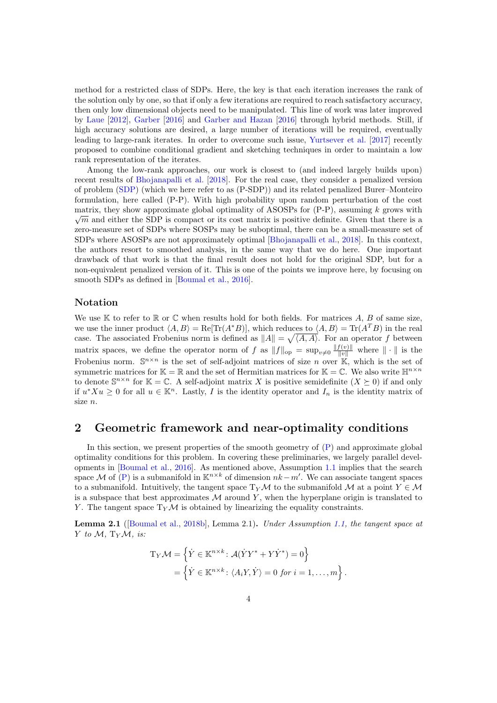method for a restricted class of SDPs. Here, the key is that each iteration increases the rank of the solution only by one, so that if only a few iterations are required to reach satisfactory accuracy, then only low dimensional objects need to be manipulated. This line of work was later improved by [Laue](#page-11-8) [\[2012\]](#page-11-8), [Garber](#page-10-9) [\[2016\]](#page-10-9) and [Garber and Hazan](#page-11-9) [\[2016\]](#page-11-9) through hybrid methods. Still, if high accuracy solutions are desired, a large number of iterations will be required, eventually leading to large-rank iterates. In order to overcome such issue, [Yurtsever et al.](#page-11-10) [\[2017\]](#page-11-10) recently proposed to combine conditional gradient and sketching techniques in order to maintain a low rank representation of the iterates.

Among the low-rank approaches, our work is closest to (and indeed largely builds upon) recent results of [Bhojanapalli et al.](#page-10-8) [\[2018\]](#page-10-8). For the real case, they consider a penalized version of problem [\(SDP\)](#page-0-0) (which we here refer to as (P-SDP)) and its related penalized Burer–Monteiro formulation, here called (P-P). With high probability upon random perturbation of the cost matrix, they show approximate global optimality of ASOSPs for  $(P-P)$ , assuming k grows with  $\sqrt{m}$  and either the SDP is compact or its cost matrix is positive definite. Given that there is a zero-measure set of SDPs where SOSPs may be suboptimal, there can be a small-measure set of SDPs where ASOSPs are not approximately optimal [\[Bhojanapalli et al.,](#page-10-8) [2018\]](#page-10-8). In this context, the authors resort to smoothed analysis, in the same way that we do here. One important drawback of that work is that the final result does not hold for the original SDP, but for a non-equivalent penalized version of it. This is one of the points we improve here, by focusing on smooth SDPs as defined in [\[Boumal et al.,](#page-10-5) [2016\]](#page-10-5).

#### Notation

We use K to refer to R or C when results hold for both fields. For matrices A, B of same size, we use the inner product  $\langle A, B \rangle = \text{Re}[\text{Tr}(A^*B)],$  which reduces to  $\langle A, B \rangle = \text{Tr}(A^T B)$  in the real case. The associated Frobenius norm is defined as  $||A|| = \sqrt{\langle A, A \rangle}$ . For an operator f between matrix spaces, we define the operator norm of f as  $||f||_{op} = \sup_{v \neq 0} \frac{||f(v)||}{||v||}$  where  $|| \cdot ||$  is the Frobenius norm.  $\mathbb{S}^{n \times n}$  is the set of self-adjoint matrices of size n over  $\mathbb{K}$ , which is the set of symmetric matrices for  $\mathbb{K} = \mathbb{R}$  and the set of Hermitian matrices for  $\mathbb{K} = \mathbb{C}$ . We also write  $\mathbb{H}^{n \times n}$ to denote  $\mathbb{S}^{n \times n}$  for  $\mathbb{K} = \mathbb{C}$ . A self-adjoint matrix X is positive semidefinite  $(X \succeq 0)$  if and only if  $u^*Xu \geq 0$  for all  $u \in \mathbb{K}^n$ . Lastly, I is the identity operator and  $I_n$  is the identity matrix of size n.

### 2 Geometric framework and near-optimality conditions

In this section, we present properties of the smooth geometry of [\(P\)](#page-1-0) and approximate global optimality conditions for this problem. In covering these preliminaries, we largely parallel developments in [\[Boumal et al.,](#page-10-5) [2016\]](#page-10-5). As mentioned above, Assumption [1.1](#page-1-1) implies that the search space M of [\(P\)](#page-1-0) is a submanifold in  $\mathbb{K}^{n\times k}$  of dimension  $nk-m'$ . We can associate tangent spaces to a submanifold. Intuitively, the tangent space  $T_Y\mathcal{M}$  to the submanifold M at a point  $Y \in \mathcal{M}$ is a subspace that best approximates  $M$  around  $Y$ , when the hyperplane origin is translated to Y. The tangent space  $T_Y \mathcal{M}$  is obtained by linearizing the equality constraints.

Lemma 2.1 ([\[Boumal et al.,](#page-10-6) [2018b\]](#page-10-6), Lemma 2.1). Under Assumption [1.1,](#page-1-1) the tangent space at Y to  $M$ , T<sub>Y</sub> $M$ , is:

$$
T_Y \mathcal{M} = \left\{ \dot{Y} \in \mathbb{K}^{n \times k} : \mathcal{A}(\dot{Y}Y^* + Y\dot{Y}^*) = 0 \right\}
$$
  
= 
$$
\left\{ \dot{Y} \in \mathbb{K}^{n \times k} : \langle A_i Y, \dot{Y} \rangle = 0 \text{ for } i = 1, ..., m \right\}.
$$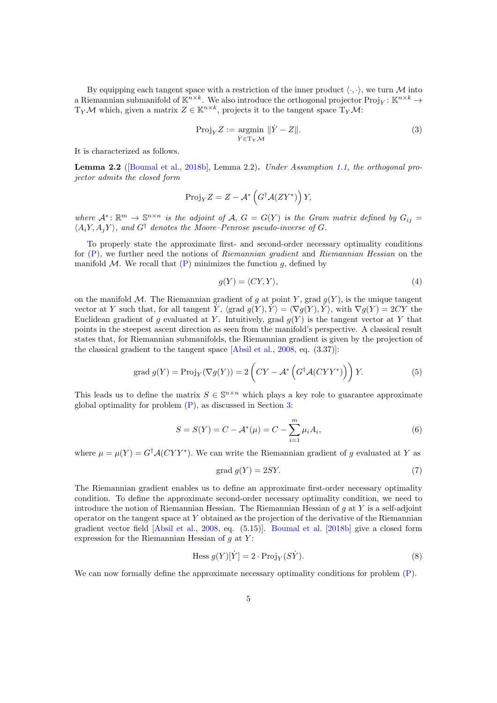By equipping each tangent space with a restriction of the inner product  $\langle \cdot, \cdot \rangle$ , we turn M into a Riemannian submanifold of  $\mathbb{K}^{n\times k}$ . We also introduce the orthogonal projector  $\text{Proj}_Y\colon \mathbb{K}^{n\times k}\to$  $T_Y\mathcal{M}$  which, given a matrix  $Z \in \mathbb{K}^{n \times k}$ , projects it to the tangent space  $T_Y\mathcal{M}$ :

$$
\text{Proj}_{Y} Z := \underset{\dot{Y} \in \text{Tr}_{Y} \mathcal{M}}{\text{argmin}} \|\dot{Y} - Z\|.
$$
 (3)

It is characterized as follows.

<span id="page-4-1"></span>Lemma 2.2 ([\[Boumal et al.,](#page-10-6) [2018b\]](#page-10-6), Lemma 2.2). Under Assumption [1.1,](#page-1-1) the orthogonal projector admits the closed form

$$
\operatorname{Proj}_{Y} Z = Z - \mathcal{A}^* \left( G^{\dagger} \mathcal{A} (Z Y^*) \right) Y,
$$

where  $\mathcal{A}^*: \mathbb{R}^m \to \mathbb{S}^{n \times n}$  is the adjoint of  $\mathcal{A}, G = G(Y)$  is the Gram matrix defined by  $G_{ij} =$  $\langle A_iY, A_jY \rangle$ , and  $G^{\dagger}$  denotes the Moore–Penrose pseudo-inverse of G.

To properly state the approximate first- and second-order necessary optimality conditions for  $(P)$ , we further need the notions of Riemannian gradient and Riemannian Hessian on the manifold M. We recall that  $(P)$  minimizes the function g, defined by

$$
g(Y) = \langle CY, Y \rangle,\tag{4}
$$

on the manifold M. The Riemannian gradient of q at point Y, grad  $q(Y)$ , is the unique tangent vector at Y such that, for all tangent Y,  $\langle \text{grad } g(Y), \overline{Y} \rangle = \langle \nabla g(Y), \overline{Y} \rangle$ , with  $\nabla g(Y) = 2CY$  the Euclidean gradient of g evaluated at Y. Intuitively, grad  $g(Y)$  is the tangent vector at Y that points in the steepest ascent direction as seen from the manifold's perspective. A classical result states that, for Riemannian submanifolds, the Riemannian gradient is given by the projection of the classical gradient to the tangent space [\[Absil et al.,](#page-10-10) [2008,](#page-10-10) eq. (3.37)]:

$$
\text{grad } g(Y) = \text{Proj}_{Y}(\nabla g(Y)) = 2\left(CY - \mathcal{A}^*\left(G^{\dagger}\mathcal{A}(CYY^*)\right)\right)Y. \tag{5}
$$

This leads us to define the matrix  $S \in \mathbb{S}^{n \times n}$  which plays a key role to guarantee approximate global optimality for problem [\(P\)](#page-1-0), as discussed in Section [3:](#page-5-0)

<span id="page-4-0"></span>
$$
S = S(Y) = C - A^*(\mu) = C - \sum_{i=1}^{m} \mu_i A_i,
$$
\n(6)

where  $\mu = \mu(Y) = G^{\dagger} \mathcal{A}(CYY^*)$ . We can write the Riemannian gradient of g evaluated at Y as

<span id="page-4-2"></span>
$$
grad\ g(Y) = 2SY.\tag{7}
$$

The Riemannian gradient enables us to define an approximate first-order necessary optimality condition. To define the approximate second-order necessary optimality condition, we need to introduce the notion of Riemannian Hessian. The Riemannian Hessian of  $q$  at Y is a self-adjoint operator on the tangent space at  $Y$  obtained as the projection of the derivative of the Riemannian gradient vector field [\[Absil et al.,](#page-10-10) [2008,](#page-10-10) eq. (5.15)]. [Boumal et al.](#page-10-6) [\[2018b\]](#page-10-6) give a closed form expression for the Riemannian Hessian of  $q$  at  $Y$ :

<span id="page-4-3"></span>
$$
\text{Hess } g(Y)[\dot{Y}] = 2 \cdot \text{Proj}_Y(S\dot{Y}).\tag{8}
$$

We can now formally define the approximate necessary optimality conditions for problem  $(P)$ .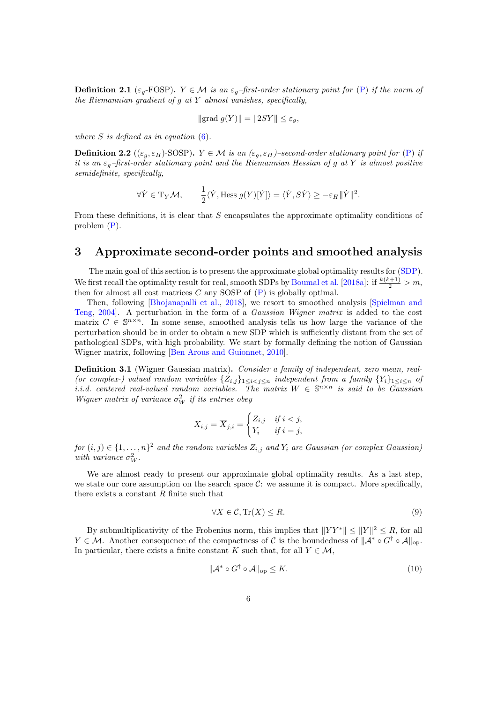**Definition 2.1** ( $\varepsilon_q$ -FOSP).  $Y \in \mathcal{M}$  is an  $\varepsilon_q$ -first-order stationary point for [\(P\)](#page-1-0) if the norm of the Riemannian gradient of  $g$  at  $Y$  almost vanishes, specifically,

$$
\|\text{grad } g(Y)\| = \|2SY\| \le \varepsilon_g,
$$

where  $S$  is defined as in equation  $(6)$ .

**Definition 2.2** (( $\varepsilon_g$ ,  $\varepsilon_H$ )-SOSP).  $Y \in \mathcal{M}$  is an ( $\varepsilon_g$ ,  $\varepsilon_H$ )-second-order stationary point for [\(P\)](#page-1-0) if it is an  $\varepsilon_q$ -first-order stationary point and the Riemannian Hessian of g at Y is almost positive semidefinite, specifically,

$$
\forall \dot{Y} \in \mathrm{T}_{Y} \mathcal{M}, \qquad \frac{1}{2} \langle \dot{Y}, \mathrm{Hess} \, g(Y)[\dot{Y}] \rangle = \langle \dot{Y}, \dot{S} \dot{Y} \rangle \ge -\varepsilon_{H} \|\dot{Y}\|^{2}.
$$

From these definitions, it is clear that S encapsulates the approximate optimality conditions of problem [\(P\)](#page-1-0).

### <span id="page-5-0"></span>3 Approximate second-order points and smoothed analysis

The main goal of this section is to present the approximate global optimality results for [\(SDP\)](#page-0-0). We first recall the optimality result for real, smooth SDPs by [Boumal et al.](#page-10-7) [\[2018a\]](#page-10-7): if  $\frac{k(k+1)}{2} > m$ , then for almost all cost matrices  $C$  any SOSP of  $(P)$  is globally optimal.

Then, following [\[Bhojanapalli et al.,](#page-10-8) [2018\]](#page-10-8), we resort to smoothed analysis [\[Spielman and](#page-11-5) [Teng,](#page-11-5) [2004\]](#page-11-5). A perturbation in the form of a Gaussian Wigner matrix is added to the cost matrix  $C \in \mathbb{S}^{n \times n}$ . In some sense, smoothed analysis tells us how large the variance of the perturbation should be in order to obtain a new SDP which is sufficiently distant from the set of pathological SDPs, with high probability. We start by formally defining the notion of Gaussian Wigner matrix, following [\[Ben Arous and Guionnet,](#page-10-11) [2010\]](#page-10-11).

<span id="page-5-3"></span>Definition 3.1 (Wigner Gaussian matrix). Consider a family of independent, zero mean, real-(or complex-) valued random variables  $\{Z_{i,j}\}_{1\leq i\leq j\leq n}$  independent from a family  $\{Y_i\}_{1\leq i\leq n}$  of i.i.d. centered real-valued random variables. The matrix  $W \in \mathbb{S}^{n \times n}$  is said to be Gaussian Wigner matrix of variance  $\sigma_W^2$  if its entries obey

$$
X_{i,j} = \overline{X}_{j,i} = \begin{cases} Z_{i,j} & \text{if } i < j, \\ Y_i & \text{if } i = j, \end{cases}
$$

 $for (i, j) \in \{1, \ldots, n\}^2$  and the random variables  $Z_{i,j}$  and  $Y_i$  are Gaussian (or complex Gaussian) with variance  $\sigma_W^2$ .

We are almost ready to present our approximate global optimality results. As a last step, we state our core assumption on the search space  $\mathcal{C}$ : we assume it is compact. More specifically, there exists a constant  $R$  finite such that

<span id="page-5-1"></span>
$$
\forall X \in \mathcal{C}, \text{Tr}(X) \le R. \tag{9}
$$

By submultiplicativity of the Frobenius norm, this implies that  $||YY^*|| \leq ||Y||^2 \leq R$ , for all  $Y \in \mathcal{M}$ . Another consequence of the compactness of C is the boundedness of  $\mathcal{A}^* \circ G^{\dagger} \circ \mathcal{A} \|_{\text{on}}$ . In particular, there exists a finite constant K such that, for all  $Y \in \mathcal{M}$ ,

<span id="page-5-2"></span>
$$
\|\mathcal{A}^* \circ G^\dagger \circ \mathcal{A}\|_{\text{op}} \le K. \tag{10}
$$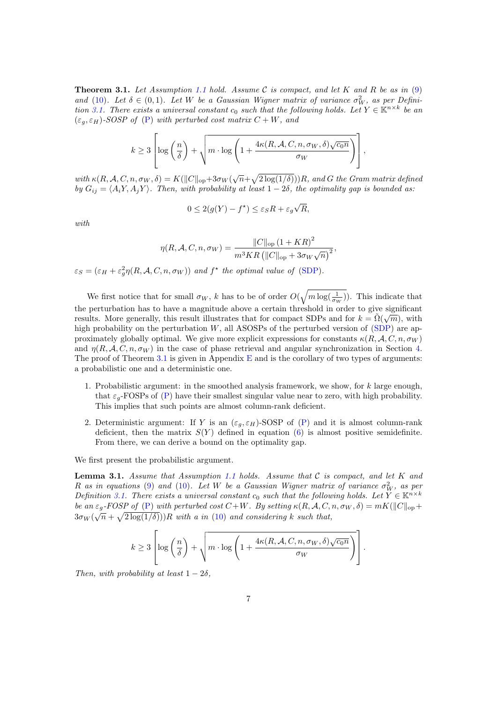<span id="page-6-0"></span>**Theorem 3.1.** Let Assumption [1.1](#page-1-1) hold. Assume C is compact, and let K and R be as in  $(9)$ and [\(10\)](#page-5-2). Let  $\delta \in (0,1)$ . Let W be a Gaussian Wigner matrix of variance  $\sigma_W^2$ , as per Defini-tion [3.1.](#page-5-3) There exists a universal constant  $c_0$  such that the following holds. Let  $Y \in \mathbb{K}^{n \times k}$  be an  $(\varepsilon_q, \varepsilon_H)$ -SOSP of [\(P\)](#page-1-0) with perturbed cost matrix  $C + W$ , and

$$
k \geq 3 \left[ \log \left( \frac{n}{\delta} \right) + \sqrt{m \cdot \log \left( 1 + \frac{4\kappa(R, \mathcal{A}, C, n, \sigma_W, \delta) \sqrt{c_0 n}}{\sigma_W} \right)} \right],
$$

with  $\kappa(R, \mathcal{A}, C, n, \sigma_W, \delta) = K(||C||_{op} + 3\sigma_W(\sqrt{n} + \sqrt{2\log(1/\delta)}))R$ , and G the Gram matrix defined by  $G_{ij} = \langle A_i Y, A_j Y \rangle$ . Then, with probability at least  $1 - 2\delta$ , the optimality gap is bounded as:

$$
0 \le 2(g(Y) - f^*) \le \varepsilon_S R + \varepsilon_g \sqrt{R},
$$

with

$$
\eta(R, \mathcal{A}, C, n, \sigma_W) = \frac{\|C\|_{\text{op}} (1 + KR)^2}{m^3KR \left( \|C\|_{\text{op}} + 3\sigma_W\sqrt{n} \right)^2},
$$

 $\varepsilon_S = (\varepsilon_H + \varepsilon_g^2 \eta(R, \mathcal{A}, C, n, \sigma_W))$  and  $f^*$  the optimal value of [\(SDP\)](#page-0-0).

We first notice that for small  $\sigma_W$ , k has to be of order  $O(\sqrt{m \log(\frac{1}{\sigma_W})})$ . This indicate that the perturbation has to have a magnitude above a certain threshold in order to give significant results. More generally, this result illustrates that for compact SDPs and for  $k = \tilde{\Omega}(\sqrt{m})$ , with high probability on the perturbation  $W$ , all ASOSPs of the perturbed version of [\(SDP\)](#page-0-0) are approximately globally optimal. We give more explicit expressions for constants  $\kappa(R, \mathcal{A}, C, n, \sigma_W)$ and  $\eta(R, \mathcal{A}, C, n, \sigma_W)$  in the case of phase retrieval and angular synchronization in Section [4.](#page-7-0) The proof of Theorem [3.1](#page-6-0) is given in Appendix  $E$  and is the corollary of two types of arguments: a probabilistic one and a deterministic one.

- 1. Probabilistic argument: in the smoothed analysis framework, we show, for k large enough, that  $\varepsilon_q$ -FOSPs of [\(P\)](#page-1-0) have their smallest singular value near to zero, with high probability. This implies that such points are almost column-rank deficient.
- 2. Deterministic argument: If Y is an  $(\varepsilon_g, \varepsilon_H)$ -SOSP of  $(P)$  and it is almost column-rank deficient, then the matrix  $S(Y)$  defined in equation [\(6\)](#page-4-0) is almost positive semidefinite. From there, we can derive a bound on the optimality gap.

We first present the probabilistic argument.

<span id="page-6-1"></span>**Lemma 3.1.** Assume that Assumption [1.1](#page-1-1) holds. Assume that  $C$  is compact, and let  $K$  and R as in equations [\(9\)](#page-5-1) and [\(10\)](#page-5-2). Let W be a Gaussian Wigner matrix of variance  $\sigma_W^2$ , as per Definition [3.1.](#page-5-3) There exists a universal constant  $c_0$  such that the following holds. Let  $Y \in \mathbb{K}^{n \times k}$ be an  $\varepsilon_g$ -FOSP of [\(P\)](#page-1-0) with perturbed cost  $C+W$ . By setting  $\kappa(R, \mathcal{A}, C, n, \sigma_W, \delta) = mK(||C||_{op} +$  $3\sigma_W(\sqrt{n} + \sqrt{2\log(1/\delta)}))R$  with a in [\(10\)](#page-5-2) and considering k such that,

$$
k \geq 3 \left[ \log \left( \frac{n}{\delta} \right) + \sqrt{m \cdot \log \left( 1 + \frac{4\kappa(R, \mathcal{A}, C, n, \sigma_W, \delta) \sqrt{c_0 n}}{\sigma_W} \right)} \right].
$$

Then, with probability at least  $1-2\delta$ ,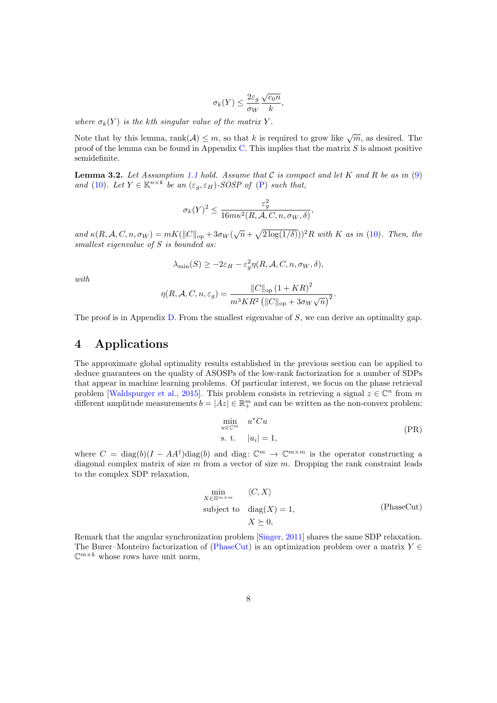$$
\sigma_k(Y) \le \frac{2\varepsilon_g}{\sigma_W} \frac{\sqrt{c_0 n}}{k},
$$

where  $\sigma_k(Y)$  is the kth singular value of the matrix Y.

Note that by this lemma,  $rank(A) \leq m$ , so that k is required to grow like  $\sqrt{m}$ , as desired. The proof of the lemma can be found in Appendix [C.](#page-13-0) This implies that the matrix  $S$  is almost positive semidefinite.

<span id="page-7-1"></span>**Lemma 3.2.** Let Assumption [1.1](#page-1-1) hold. Assume that  $C$  is compact and let K and R be as in [\(9\)](#page-5-1) and [\(10\)](#page-5-2). Let  $Y \in \mathbb{K}^{n \times k}$  be an  $(\varepsilon_g, \varepsilon_H)$ -SOSP of [\(P\)](#page-1-0) such that,

$$
\sigma_k(Y)^2 \le \frac{\varepsilon_g^2}{16m\kappa^2(R,A,C,n,\sigma_W,\delta)},
$$

and  $\kappa(R, \mathcal{A}, C, n, \sigma_W) = mK(||C||_{op} + 3\sigma_W(\sqrt{n} + \sqrt{2 \log(1/\delta)}))^2 R$  with K as in [\(10\)](#page-5-2). Then, the smallest eigenvalue of S is bounded as:

$$
\lambda_{\min}(S) \ge -2\varepsilon_H - \varepsilon_g^2 \eta(R, \mathcal{A}, C, n, \sigma_W, \delta),
$$

with

$$
\eta(R, \mathcal{A}, C, n, \varepsilon_g) = \frac{\|C\|_{\text{op}} (1 + KR)^2}{m^3 KR^2 \left(\|C\|_{\text{op}} + 3\sigma_W \sqrt{n}\right)^2}.
$$

The proof is in Appendix [D.](#page-15-0) From the smallest eigenvalue of S, we can derive an optimality gap.

# <span id="page-7-0"></span>4 Applications

The approximate global optimality results established in the previous section can be applied to deduce guarantees on the quality of ASOSPs of the low-rank factorization for a number of SDPs that appear in machine learning problems. Of particular interest, we focus on the phase retrieval problem [\[Waldspurger et al.,](#page-11-2) [2015\]](#page-11-2). This problem consists in retrieving a signal  $z \in \mathbb{C}^n$  from m different amplitude measurements  $b = |Az| \in \mathbb{R}^m_+$  and can be written as the non-convex problem:

$$
\min_{u \in \mathbb{C}^m} \quad u^* C u
$$
\ns. t.

\n
$$
|u_i| = 1,
$$
\n(PR)

where  $C = \text{diag}(b)(I - AA^{\dagger})\text{diag}(b)$  and diag:  $\mathbb{C}^m \to \mathbb{C}^{m \times m}$  is the operator constructing a diagonal complex matrix of size  $m$  from a vector of size  $m$ . Dropping the rank constraint leads to the complex SDP relaxation,

<span id="page-7-2"></span>
$$
\min_{X \in \mathbb{H}^{m \times m}} \langle C, X \rangle
$$
\nsubject to 
$$
\text{diag}(X) = 1,
$$
\n
$$
X \succeq 0,
$$
\n(PhaseCut)

Remark that the angular synchronization problem [\[Singer,](#page-11-1) [2011\]](#page-11-1) shares the same SDP relaxation. The Burer–Monteiro factorization of [\(PhaseCut\)](#page-7-2) is an optimization problem over a matrix  $Y \in$  $\mathbb{C}^{m \times k}$  whose rows have unit norm,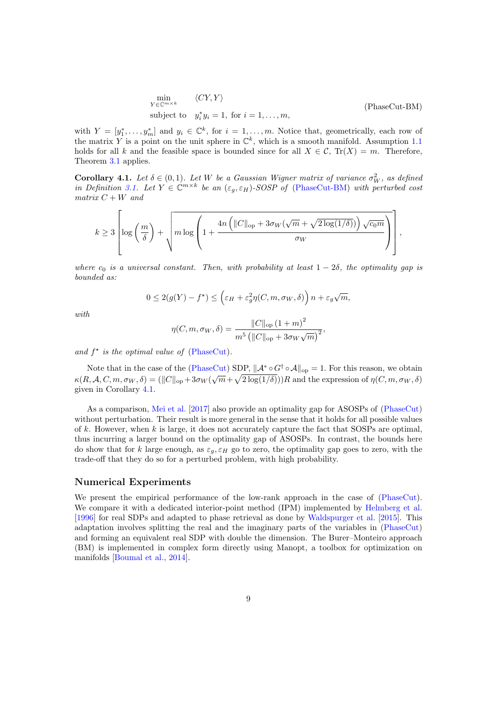<span id="page-8-0"></span>
$$
\min_{Y \in \mathbb{C}^{m \times k}} \langle CY, Y \rangle
$$
\nsubject to  $y_i^* y_i = 1$ , for  $i = 1, ..., m$ , (PhaseCut-BM)

with  $Y = [y_1^*, \ldots, y_m^*]$  and  $y_i \in \mathbb{C}^k$ , for  $i = 1, \ldots, m$ . Notice that, geometrically, each row of the matrix Y is a point on the unit sphere in  $\mathbb{C}^k$ , which is a smooth manifold. Assumption [1.1](#page-1-1) holds for all k and the feasible space is bounded since for all  $X \in \mathcal{C}$ ,  $Tr(X) = m$ . Therefore, Theorem [3.1](#page-6-0) applies.

<span id="page-8-1"></span>**Corollary 4.1.** Let  $\delta \in (0,1)$ . Let W be a Gaussian Wigner matrix of variance  $\sigma_W^2$ , as defined in Definition [3.1.](#page-5-3) Let  $Y \in \mathbb{C}^{m \times k}$  be an  $(\varepsilon_g, \varepsilon_H)$ -SOSP of [\(PhaseCut-BM\)](#page-8-0) with perturbed cost matrix  $C + W$  and

$$
k \geq 3 \left[ \log \left( \frac{m}{\delta} \right) + \sqrt{m \log \left( 1 + \frac{4n \left( ||C||_{\text{op}} + 3\sigma_W(\sqrt{m} + \sqrt{2 \log(1/\delta)}) \right) \sqrt{c_0 m}}{\sigma_W} \right)} \right],
$$

where  $c_0$  is a universal constant. Then, with probability at least  $1 - 2\delta$ , the optimality gap is bounded as:

$$
0 \le 2(g(Y) - f^*) \le \left(\varepsilon_H + \varepsilon_g^2 \eta(C, m, \sigma_W, \delta)\right) n + \varepsilon_g \sqrt{m},
$$

with

$$
\eta(C, m, \sigma_W, \delta) = \frac{\|C\|_{\text{op}} (1+m)^2}{m^5 (\|C\|_{\text{op}} + 3\sigma_W\sqrt{m})^2},
$$

and  $f^*$  is the optimal value of [\(PhaseCut\)](#page-7-2).

Note that in the case of the [\(PhaseCut\)](#page-7-2) SDP,  $\|\mathcal{A}^* \circ G^{\dagger} \circ \mathcal{A}\|_{\text{op}} = 1$ . For this reason, we obtain  $\kappa(R, \mathcal{A}, C, m, \sigma_W, \delta) = (||C||_{op} + 3\sigma_W(\sqrt{m} + \sqrt{2\log(1/\delta)}))R$  and the expression of  $\eta(C, m, \sigma_W, \delta)$ given in Corollary [4.1.](#page-8-1)

As a comparison, [Mei et al.](#page-11-11) [\[2017\]](#page-11-11) also provide an optimality gap for ASOSPs of [\(PhaseCut\)](#page-7-2) without perturbation. Their result is more general in the sense that it holds for all possible values of  $k$ . However, when  $k$  is large, it does not accurately capture the fact that SOSPs are optimal, thus incurring a larger bound on the optimality gap of ASOSPs. In contrast, the bounds here do show that for k large enough, as  $\varepsilon_q$ ,  $\varepsilon_H$  go to zero, the optimality gap goes to zero, with the trade-off that they do so for a perturbed problem, with high probability.

#### Numerical Experiments

We present the empirical performance of the low-rank approach in the case of [\(PhaseCut\)](#page-7-2). We compare it with a dedicated interior-point method (IPM) implemented by [Helmberg et al.](#page-11-12) [\[1996\]](#page-11-12) for real SDPs and adapted to phase retrieval as done by [Waldspurger et al.](#page-11-2) [\[2015\]](#page-11-2). This adaptation involves splitting the real and the imaginary parts of the variables in [\(PhaseCut\)](#page-7-2) and forming an equivalent real SDP with double the dimension. The Burer–Monteiro approach (BM) is implemented in complex form directly using Manopt, a toolbox for optimization on manifolds [\[Boumal et al.,](#page-10-12) [2014\]](#page-10-12).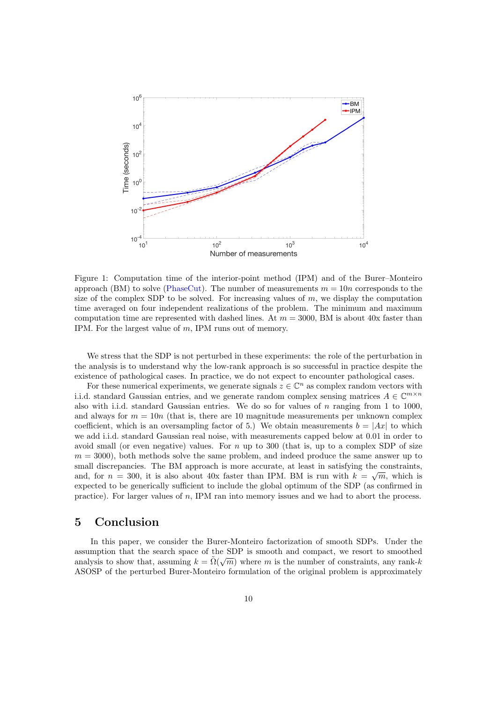

Figure 1: Computation time of the interior-point method (IPM) and of the Burer–Monteiro approach (BM) to solve [\(PhaseCut\)](#page-7-2). The number of measurements  $m = 10n$  corresponds to the size of the complex SDP to be solved. For increasing values of  $m$ , we display the computation time averaged on four independent realizations of the problem. The minimum and maximum computation time are represented with dashed lines. At  $m = 3000$ , BM is about 40x faster than IPM. For the largest value of m, IPM runs out of memory.

We stress that the SDP is not perturbed in these experiments: the role of the perturbation in the analysis is to understand why the low-rank approach is so successful in practice despite the existence of pathological cases. In practice, we do not expect to encounter pathological cases.

For these numerical experiments, we generate signals  $z \in \mathbb{C}^n$  as complex random vectors with i.i.d. standard Gaussian entries, and we generate random complex sensing matrices  $A \in \mathbb{C}^{m \times n}$ also with i.i.d. standard Gaussian entries. We do so for values of  $n$  ranging from 1 to 1000, and always for  $m = 10n$  (that is, there are 10 magnitude measurements per unknown complex coefficient, which is an oversampling factor of 5.) We obtain measurements  $b = |Ax|$  to which we add i.i.d. standard Gaussian real noise, with measurements capped below at 0.01 in order to avoid small (or even negative) values. For  $n \text{ up to } 300$  (that is, up to a complex SDP of size  $m = 3000$ , both methods solve the same problem, and indeed produce the same answer up to small discrepancies. The BM approach is more accurate, at least in satisfying the constraints, and, for  $n = 300$ , it is also about 40x faster than IPM. BM is run with  $k = \sqrt{m}$ , which is expected to be generically sufficient to include the global optimum of the SDP (as confirmed in practice). For larger values of n, IPM ran into memory issues and we had to abort the process.

### 5 Conclusion

In this paper, we consider the Burer-Monteiro factorization of smooth SDPs. Under the assumption that the search space of the SDP is smooth and compact, we resort to smoothed analysis to show that, assuming  $k = \tilde{\Omega}(\sqrt{m})$  where m is the number of constraints, any rank-k ASOSP of the perturbed Burer-Monteiro formulation of the original problem is approximately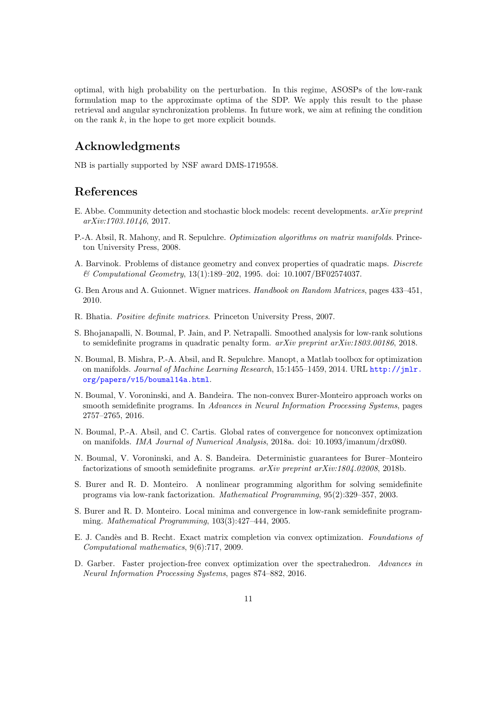optimal, with high probability on the perturbation. In this regime, ASOSPs of the low-rank formulation map to the approximate optima of the SDP. We apply this result to the phase retrieval and angular synchronization problems. In future work, we aim at refining the condition on the rank  $k$ , in the hope to get more explicit bounds.

# Acknowledgments

NB is partially supported by NSF award DMS-1719558.

### References

- <span id="page-10-1"></span>E. Abbe. Community detection and stochastic block models: recent developments. arXiv preprint arXiv:1703.10146, 2017.
- <span id="page-10-10"></span>P.-A. Absil, R. Mahony, and R. Sepulchre. Optimization algorithms on matrix manifolds. Princeton University Press, 2008.
- <span id="page-10-4"></span>A. Barvinok. Problems of distance geometry and convex properties of quadratic maps. Discrete & Computational Geometry, 13(1):189–202, 1995. doi: 10.1007/BF02574037.
- <span id="page-10-11"></span>G. Ben Arous and A. Guionnet. Wigner matrices. Handbook on Random Matrices, pages 433–451, 2010.
- <span id="page-10-13"></span>R. Bhatia. Positive definite matrices. Princeton University Press, 2007.
- <span id="page-10-8"></span>S. Bhojanapalli, N. Boumal, P. Jain, and P. Netrapalli. Smoothed analysis for low-rank solutions to semidefinite programs in quadratic penalty form. arXiv preprint arXiv:1803.00186, 2018.
- <span id="page-10-12"></span>N. Boumal, B. Mishra, P.-A. Absil, and R. Sepulchre. Manopt, a Matlab toolbox for optimization on manifolds. Journal of Machine Learning Research, 15:1455-1459, 2014. URL [http://jmlr.](http://jmlr.org/papers/v15/boumal14a.html) [org/papers/v15/boumal14a.html](http://jmlr.org/papers/v15/boumal14a.html).
- <span id="page-10-5"></span>N. Boumal, V. Voroninski, and A. Bandeira. The non-convex Burer-Monteiro approach works on smooth semidefinite programs. In Advances in Neural Information Processing Systems, pages 2757–2765, 2016.
- <span id="page-10-7"></span>N. Boumal, P.-A. Absil, and C. Cartis. Global rates of convergence for nonconvex optimization on manifolds. IMA Journal of Numerical Analysis, 2018a. doi: 10.1093/imanum/drx080.
- <span id="page-10-6"></span>N. Boumal, V. Voroninski, and A. S. Bandeira. Deterministic guarantees for Burer–Monteiro factorizations of smooth semidefinite programs.  $arXiv$  preprint  $arXiv:1804.02008$ , 2018b.
- <span id="page-10-2"></span>S. Burer and R. D. Monteiro. A nonlinear programming algorithm for solving semidefinite programs via low-rank factorization. Mathematical Programming, 95(2):329–357, 2003.
- <span id="page-10-3"></span>S. Burer and R. D. Monteiro. Local minima and convergence in low-rank semidefinite programming. Mathematical Programming, 103(3):427–444, 2005.
- <span id="page-10-0"></span>E. J. Candès and B. Recht. Exact matrix completion via convex optimization. Foundations of Computational mathematics, 9(6):717, 2009.
- <span id="page-10-9"></span>D. Garber. Faster projection-free convex optimization over the spectrahedron. Advances in Neural Information Processing Systems, pages 874–882, 2016.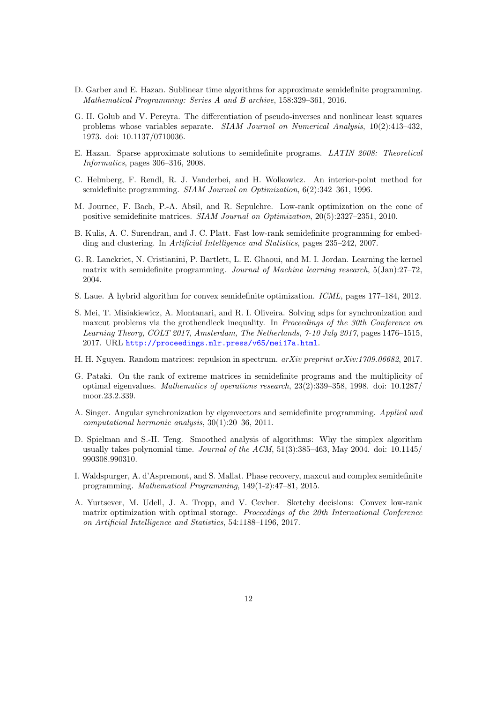- <span id="page-11-9"></span>D. Garber and E. Hazan. Sublinear time algorithms for approximate semidefinite programming. Mathematical Programming: Series A and B archive, 158:329–361, 2016.
- <span id="page-11-13"></span>G. H. Golub and V. Pereyra. The differentiation of pseudo-inverses and nonlinear least squares problems whose variables separate. SIAM Journal on Numerical Analysis, 10(2):413–432, 1973. doi: 10.1137/0710036.
- <span id="page-11-7"></span>E. Hazan. Sparse approximate solutions to semidefinite programs. LATIN 2008: Theoretical Informatics, pages 306–316, 2008.
- <span id="page-11-12"></span>C. Helmberg, F. Rendl, R. J. Vanderbei, and H. Wolkowicz. An interior-point method for semidefinite programming. SIAM Journal on Optimization, 6(2):342–361, 1996.
- <span id="page-11-6"></span>M. Journee, F. Bach, P.-A. Absil, and R. Sepulchre. Low-rank optimization on the cone of positive semidefinite matrices. SIAM Journal on Optimization, 20(5):2327–2351, 2010.
- <span id="page-11-4"></span>B. Kulis, A. C. Surendran, and J. C. Platt. Fast low-rank semidefinite programming for embedding and clustering. In Artificial Intelligence and Statistics, pages 235–242, 2007.
- <span id="page-11-0"></span>G. R. Lanckriet, N. Cristianini, P. Bartlett, L. E. Ghaoui, and M. I. Jordan. Learning the kernel matrix with semidefinite programming. Journal of Machine learning research, 5(Jan):27–72, 2004.
- <span id="page-11-8"></span>S. Laue. A hybrid algorithm for convex semidefinite optimization. ICML, pages 177–184, 2012.
- <span id="page-11-11"></span>S. Mei, T. Misiakiewicz, A. Montanari, and R. I. Oliveira. Solving sdps for synchronization and maxcut problems via the grothendieck inequality. In Proceedings of the 30th Conference on Learning Theory, COLT 2017, Amsterdam, The Netherlands, 7-10 July 2017, pages 1476–1515, 2017. URL <http://proceedings.mlr.press/v65/mei17a.html>.
- <span id="page-11-14"></span>H. H. Nguyen. Random matrices: repulsion in spectrum. arXiv preprint arXiv:1709.06682, 2017.
- <span id="page-11-3"></span>G. Pataki. On the rank of extreme matrices in semidefinite programs and the multiplicity of optimal eigenvalues. Mathematics of operations research, 23(2):339–358, 1998. doi: 10.1287/ moor.23.2.339.
- <span id="page-11-1"></span>A. Singer. Angular synchronization by eigenvectors and semidefinite programming. Applied and computational harmonic analysis, 30(1):20–36, 2011.
- <span id="page-11-5"></span>D. Spielman and S.-H. Teng. Smoothed analysis of algorithms: Why the simplex algorithm usually takes polynomial time. Journal of the ACM,  $51(3):385-463$ , May 2004. doi:  $10.1145/$ 990308.990310.
- <span id="page-11-2"></span>I. Waldspurger, A. d'Aspremont, and S. Mallat. Phase recovery, maxcut and complex semidefinite programming. Mathematical Programming, 149(1-2):47–81, 2015.
- <span id="page-11-10"></span>A. Yurtsever, M. Udell, J. A. Tropp, and V. Cevher. Sketchy decisions: Convex low-rank matrix optimization with optimal storage. Proceedings of the 20th International Conference on Artificial Intelligence and Statistics, 54:1188–1196, 2017.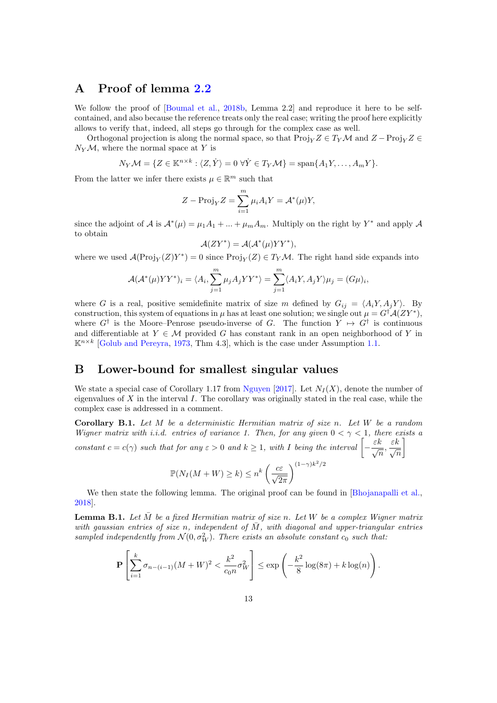# A Proof of lemma [2.2](#page-4-1)

We follow the proof of [\[Boumal et al.,](#page-10-6) [2018b,](#page-10-6) Lemma 2.2] and reproduce it here to be selfcontained, and also because the reference treats only the real case; writing the proof here explicitly allows to verify that, indeed, all steps go through for the complex case as well.

Orthogonal projection is along the normal space, so that  $\text{Proj}_Y Z \in T_Y \mathcal{M}$  and  $Z - \text{Proj}_Y Z \in T_Y \mathcal{M}$  $N_Y \mathcal{M}$ , where the normal space at Y is

$$
N_Y\mathcal{M} = \{ Z \in \mathbb{K}^{n \times k} : \langle Z, \dot{Y} \rangle = 0 \ \forall \dot{Y} \in T_Y\mathcal{M} \} = \text{span}\{A_1Y, \dots, A_mY\}.
$$

From the latter we infer there exists  $\mu \in \mathbb{R}^m$  such that

$$
Z - \text{Proj}_{Y} Z = \sum_{i=1}^{m} \mu_{i} A_{i} Y = \mathcal{A}^{*}(\mu) Y,
$$

since the adjoint of A is  $\mathcal{A}^*(\mu) = \mu_1 A_1 + ... + \mu_m A_m$ . Multiply on the right by Y<sup>\*</sup> and apply A to obtain

$$
\mathcal{A}(ZY^*) = \mathcal{A}(\mathcal{A}^*(\mu)YY^*),
$$

where we used  $\mathcal{A}(\text{Proj}_Y(Z)Y^*)=0$  since  $\text{Proj}_Y(Z) \in T_Y\mathcal{M}$ . The right hand side expands into

$$
\mathcal{A}(\mathcal{A}^*(\mu)YY^*)_i = \langle A_i, \sum_{j=1}^m \mu_j A_j YY^* \rangle = \sum_{j=1}^m \langle A_i Y, A_j Y \rangle \mu_j = (G\mu)_i,
$$

where G is a real, positive semidefinite matrix of size m defined by  $G_{ij} = \langle A_i Y, A_j Y \rangle$ . By construction, this system of equations in  $\mu$  has at least one solution; we single out  $\mu = G^{\dagger} A (Z Y^*)$ , where  $G^{\dagger}$  is the Moore–Penrose pseudo-inverse of G. The function  $Y \mapsto G^{\dagger}$  is continuous and differentiable at  $Y \in \mathcal{M}$  provided G has constant rank in an open neighborhood of Y in  $\mathbb{K}^{n \times k}$  [\[Golub and Pereyra,](#page-11-13) [1973,](#page-11-13) Thm 4.3], which is the case under Assumption [1.1.](#page-1-1)

### B Lower-bound for smallest singular values

We state a special case of Corollary 1.17 from [Nguyen](#page-11-14) [\[2017\]](#page-11-14). Let  $N_I(X)$ , denote the number of eigenvalues of X in the interval I. The corollary was originally stated in the real case, while the complex case is addressed in a comment.

**Corollary B.1.** Let  $M$  be a deterministic Hermitian matrix of size n. Let  $W$  be a random Wigner matrix with i.i.d. entries of variance 1. Then, for any given  $0 < \gamma < 1$ , there exists a constant  $c = c(\gamma)$  such that for any  $\varepsilon > 0$  and  $k \ge 1$ , with I being the interval  $\left[ -\frac{\varepsilon k}{\sqrt{n}}, \frac{\varepsilon k}{\sqrt{n}} \right]$ 1

$$
\mathbb{P}(N_I(M+W) \ge k) \le n^k \left(\frac{c\varepsilon}{\sqrt{2\pi}}\right)^{(1-\gamma)k^2/2}
$$

We then state the following lemma. The original proof can be found in [\[Bhojanapalli et al.,](#page-10-8) [2018\]](#page-10-8).

<span id="page-12-0"></span>**Lemma B.1.** Let  $\overline{M}$  be a fixed Hermitian matrix of size n. Let W be a complex Wigner matrix with gaussian entries of size n, independent of  $\overline{M}$ , with diagonal and upper-triangular entries sampled independently from  $\mathcal{N}(0, \sigma_W^2)$ . There exists an absolute constant  $c_0$  such that:

$$
\mathbf{P}\left[\sum_{i=1}^{k} \sigma_{n-(i-1)}(M+W)^2 < \frac{k^2}{c_0 n} \sigma_W^2\right] \le \exp\left(-\frac{k^2}{8}\log(8\pi) + k\log(n)\right).
$$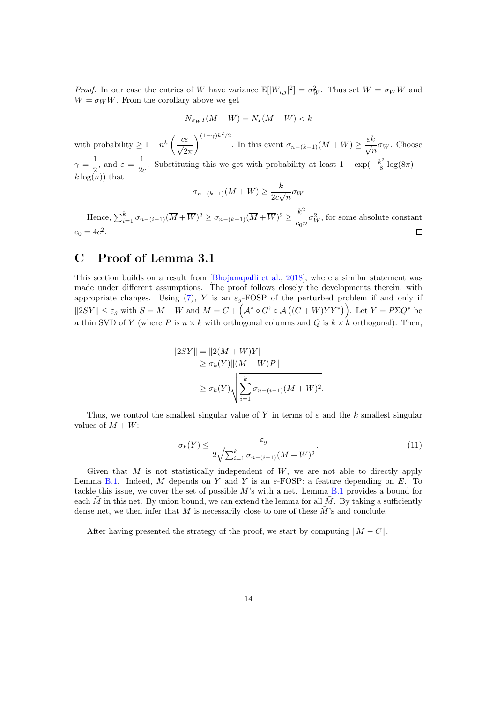*Proof.* In our case the entries of W have variance  $\mathbb{E}[|W_{i,j}|^2] = \sigma_W^2$ . Thus set  $\overline{W} = \sigma_W W$  and  $\overline{W} = \sigma_W W$ . From the corollary above we get

$$
N_{\sigma_W I}(\overline{M} + \overline{W}) = N_I(M + W) < k
$$

with probability  $\geq 1-n^k\left(\frac{c\varepsilon}{\sqrt{n}}\right)$  $2\pi$  $\bigwedge^{(1-\gamma)k^2/2}$ . In this event  $\sigma_{n-(k-1)}(\overline{M} + \overline{W}) \ge \frac{\varepsilon k}{\sqrt{n}} \sigma_W$ . Choose  $\gamma = \frac{1}{2}$  $\frac{1}{2}$ , and  $\varepsilon = \frac{1}{2\epsilon}$  $\frac{1}{2c}$ . Substituting this we get with probability at least  $1 - \exp(-\frac{k^2}{8})$  $\frac{\pi}{8} \log(8\pi) +$  $k \log(n)$  that

$$
\sigma_{n-(k-1)}(\overline{M} + \overline{W}) \ge \frac{k}{2c\sqrt{n}} \sigma_W
$$

Hence,  $\sum_{i=1}^{k} \sigma_{n-(i-1)}(\overline{M} + \overline{W})^2 \ge \sigma_{n-(k-1)}(\overline{M} + \overline{W})^2 \ge \frac{k^2}{\sigma^2}$  $\frac{\kappa}{c_0 n} \sigma_W^2$ , for some absolute constant  $c_0 = 4c^2$ .  $\Box$ 

# <span id="page-13-0"></span>C Proof of Lemma 3.1

This section builds on a result from [\[Bhojanapalli et al.,](#page-10-8) [2018\]](#page-10-8), where a similar statement was made under different assumptions. The proof follows closely the developments therein, with appropriate changes. Using [\(7\)](#page-4-2), Y is an  $\varepsilon_g$ -FOSP of the perturbed problem if and only if  $||2SY|| \leq \varepsilon_g$  with  $S = M + W$  and  $M = C + (\mathcal{A}^* \circ G^{\dagger} \circ \mathcal{A}((C+W)YY^*))$ . Let  $Y = P\Sigma Q^*$  be a thin SVD of Y (where P is  $n \times k$  with orthogonal columns and Q is  $k \times k$  orthogonal). Then,

$$
||2SY|| = ||2(M+W)Y||
$$
  
\n
$$
\geq \sigma_k(Y) ||(M+W)P||
$$
  
\n
$$
\geq \sigma_k(Y) \sqrt{\sum_{i=1}^k \sigma_{n-(i-1)}(M+W)^2}.
$$

Thus, we control the smallest singular value of Y in terms of  $\varepsilon$  and the k smallest singular values of  $M + W$ :

<span id="page-13-1"></span>
$$
\sigma_k(Y) \le \frac{\varepsilon_g}{2\sqrt{\sum_{i=1}^k \sigma_{n-(i-1)}(M+W)^2}}.\tag{11}
$$

Given that  $M$  is not statistically independent of  $W$ , we are not able to directly apply Lemma [B.1.](#page-12-0) Indeed, M depends on Y and Y is an  $\varepsilon$ -FOSP: a feature depending on E. To tackle this issue, we cover the set of possible  $M$ 's with a net. Lemma [B.1](#page-12-0) provides a bound for each  $\overline{M}$  in this net. By union bound, we can extend the lemma for all  $\overline{M}$ . By taking a sufficiently dense net, we then infer that M is necessarily close to one of these  $\bar{M}$ 's and conclude.

After having presented the strategy of the proof, we start by computing  $||M - C||$ .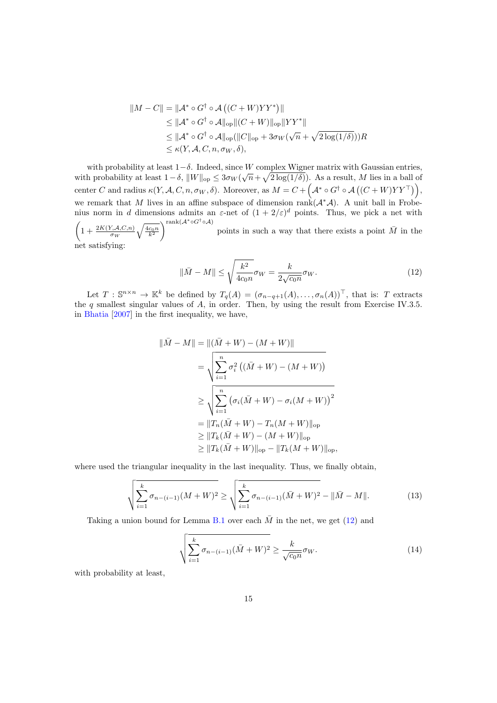$$
||M - C|| = ||A^* \circ G^\dagger \circ A ((C + W)YY^*)||
$$
  
\n
$$
\leq ||A^* \circ G^\dagger \circ A||_{op} ||(C + W)||_{op} ||YY^*||
$$
  
\n
$$
\leq ||A^* \circ G^\dagger \circ A||_{op} (||C||_{op} + 3\sigma_W(\sqrt{n} + \sqrt{2 \log(1/\delta)}))R
$$
  
\n
$$
\leq \kappa(Y, A, C, n, \sigma_W, \delta),
$$

with probability at least  $1-\delta$ . Indeed, since W complex Wigner matrix with Gaussian entries, with probability at least  $1-\delta$ ,  $||W||_{op} \leq 3\sigma_W(\sqrt{n}+\sqrt{2\log(1/\delta)})$ . As a result, M lies in a ball of center C and radius  $\kappa(Y, \mathcal{A}, C, n, \sigma_W, \delta)$ . Moreover, as  $M = C + \left(\mathcal{A}^* \circ G^{\dagger} \circ \mathcal{A}\left((C+W)YY^{\top}\right)\right)$ , we remark that M lives in an affine subspace of dimension rank $(A^*\mathcal{A})$ . A unit ball in Frobenius norm in d dimensions admits an  $\varepsilon$ -net of  $(1+2/\varepsilon)^d$  points. Thus, we pick a net with  $\left(1+\frac{2K(Y,A,C,n)}{\sigma_W}\right)$  $\sqrt{\frac{4c_0n}{k^2}}$ rank $(A^* \circ G^{\dagger} \circ \mathcal{A})$ points in such a way that there exists a point  $\overline{M}$  in the

net satisfying:

<span id="page-14-0"></span>
$$
\|\bar{M} - M\| \le \sqrt{\frac{k^2}{4c_0 n}} \sigma_W = \frac{k}{2\sqrt{c_0 n}} \sigma_W.
$$
\n(12)

Let  $T : \mathbb{S}^{n \times n} \to \mathbb{K}^k$  be defined by  $T_q(A) = (\sigma_{n-q+1}(A), \ldots, \sigma_n(A))^T$ , that is: T extracts the q smallest singular values of  $A$ , in order. Then, by using the result from Exercise IV.3.5. in [Bhatia](#page-10-13) [\[2007\]](#page-10-13) in the first inequality, we have,

$$
\|\bar{M} - M\| = \|(\bar{M} + W) - (M + W)\|
$$
  
=  $\sqrt{\sum_{i=1}^{n} \sigma_i^2 ((\bar{M} + W) - (M + W))}$   
 $\ge \sqrt{\sum_{i=1}^{n} (\sigma_i (\bar{M} + W) - \sigma_i (M + W))^2}$   
=  $||T_n(\bar{M} + W) - T_n(M + W)||_{op}$   
 $\ge ||T_k(\bar{M} + W) - (M + W)||_{op}$   
 $\ge ||T_k(\bar{M} + W)||_{op} - ||T_k(M + W)||_{op}$ 

where used the triangular inequality in the last inequality. Thus, we finally obtain,

<span id="page-14-1"></span>
$$
\sqrt{\sum_{i=1}^{k} \sigma_{n-(i-1)}(M+W)^2} \ge \sqrt{\sum_{i=1}^{k} \sigma_{n-(i-1)}(\bar{M}+W)^2 - \|\bar{M}-M\|}. \tag{13}
$$

Taking a union bound for Lemma [B.1](#page-12-0) over each  $\overline{M}$  in the net, we get [\(12\)](#page-14-0) and

<span id="page-14-2"></span>
$$
\sqrt{\sum_{i=1}^{k} \sigma_{n-(i-1)}(\bar{M}+W)^2} \ge \frac{k}{\sqrt{c_0 n}} \sigma_W.
$$
\n(14)

with probability at least,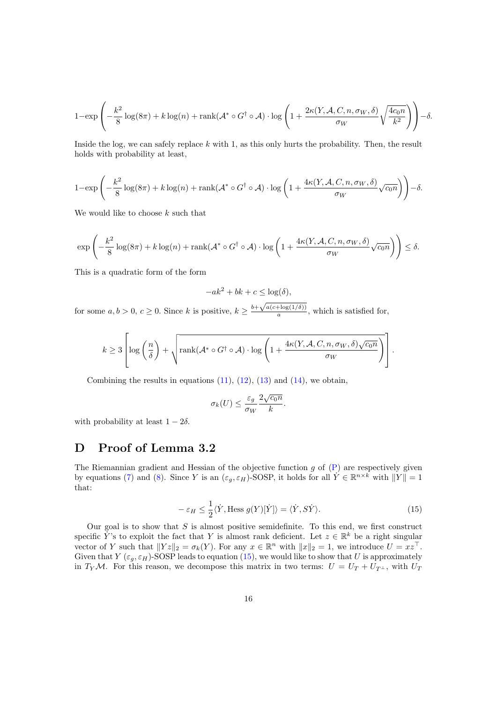$$
1 - \exp\left(-\frac{k^2}{8}\log(8\pi) + k\log(n) + \operatorname{rank}(\mathcal{A}^* \circ G^\dagger \circ \mathcal{A}) \cdot \log\left(1 + \frac{2\kappa(Y, \mathcal{A}, C, n, \sigma_W, \delta)}{\sigma_W}\sqrt{\frac{4c_0n}{k^2}}\right)\right) - \delta.
$$

Inside the log, we can safely replace  $k$  with 1, as this only hurts the probability. Then, the result holds with probability at least,

$$
1 - \exp\left(-\frac{k^2}{8}\log(8\pi) + k\log(n) + \operatorname{rank}(\mathcal{A}^* \circ G^\dagger \circ \mathcal{A}) \cdot \log\left(1 + \frac{4\kappa(Y, \mathcal{A}, C, n, \sigma_W, \delta)}{\sigma_W}\sqrt{c_0 n}\right)\right) - \delta.
$$

We would like to choose  $k$  such that

$$
\exp\left(-\frac{k^2}{8}\log(8\pi) + k\log(n) + \operatorname{rank}(\mathcal{A}^* \circ G^{\dagger} \circ \mathcal{A}) \cdot \log\left(1 + \frac{4\kappa(Y, \mathcal{A}, C, n, \sigma_W, \delta)}{\sigma_W}\sqrt{c_0 n}\right)\right) \le \delta.
$$

This is a quadratic form of the form

$$
-ak^2 + bk + c \le \log(\delta),
$$

for some  $a, b > 0, c \ge 0$ . Since k is positive,  $k \ge \frac{b + \sqrt{a(c + \log(1/\delta))}}{a}$  $\frac{(\frac{\mu}{a})(1/\theta)}{a}$ , which is satisfied for,

$$
k \geq 3 \left[ \log \left( \frac{n}{\delta} \right) + \sqrt{\text{rank}(\mathcal{A}^* \circ G^\dagger \circ \mathcal{A}) \cdot \log \left( 1 + \frac{4\kappa(Y, \mathcal{A}, C, n, \sigma_W, \delta) \sqrt{c_0 n}}{\sigma_W} \right)} \right].
$$

Combining the results in equations  $(11)$ ,  $(12)$ ,  $(13)$  and  $(14)$ , we obtain,

$$
\sigma_k(U) \le \frac{\varepsilon_g}{\sigma_W} \frac{2\sqrt{c_0 n}}{k}.
$$

with probability at least  $1 - 2\delta$ .

# <span id="page-15-0"></span>D Proof of Lemma 3.2

The Riemannian gradient and Hessian of the objective function  $g$  of  $(P)$  are respectively given by equations [\(7\)](#page-4-2) and [\(8\)](#page-4-3). Since Y is an  $(\varepsilon_g, \varepsilon_H)$ -SOSP, it holds for all  $\check{Y} \in \mathbb{R}^{n \times k}$  with  $||Y|| = 1$ that:

<span id="page-15-1"></span>
$$
-\varepsilon_H \le \frac{1}{2}\langle \dot{Y}, \text{Hess } g(Y)[\dot{Y}] \rangle = \langle \dot{Y}, S\dot{Y} \rangle. \tag{15}
$$

Our goal is to show that  $S$  is almost positive semidefinite. To this end, we first construct specific Y<sup>'</sup>'s to exploit the fact that Y is almost rank deficient. Let  $z \in \mathbb{R}^k$  be a right singular vector of Y such that  $||Yz||_2 = \sigma_k(Y)$ . For any  $x \in \mathbb{R}^n$  with  $||x||_2 = 1$ , we introduce  $U = xz^\top$ . Given that  $Y(\varepsilon_q, \varepsilon_H)$ -SOSP leads to equation [\(15\)](#page-15-1), we would like to show that U is approximately in  $T_Y M$ . For this reason, we decompose this matrix in two terms:  $U = U_T + U_{T}$ , with  $U_T$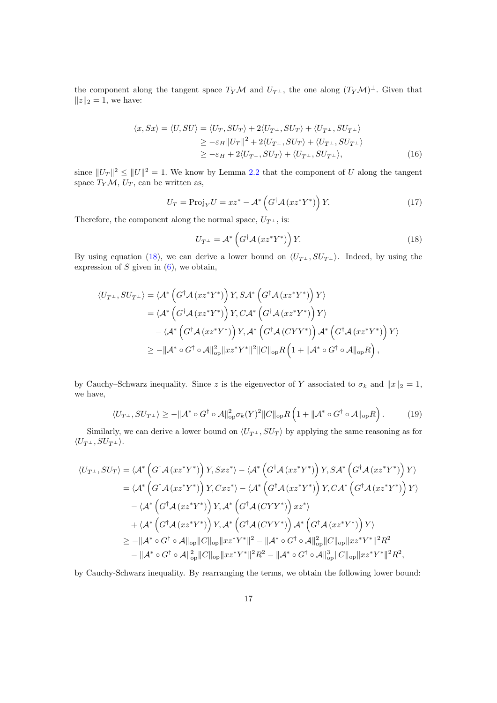the component along the tangent space  $T_Y \mathcal{M}$  and  $U_{T^{\perp}}$ , the one along  $(T_Y \mathcal{M})^{\perp}$ . Given that  $||z||_2 = 1$ , we have:

$$
\langle x, Sx \rangle = \langle U, SU \rangle = \langle U_T, SU_T \rangle + 2\langle U_{T^{\perp}}, SU_T \rangle + \langle U_{T^{\perp}}, SU_{T^{\perp}} \rangle
$$
  
\n
$$
\geq -\varepsilon_H ||U_T||^2 + 2\langle U_{T^{\perp}}, SU_T \rangle + \langle U_{T^{\perp}}, SU_{T^{\perp}} \rangle
$$
  
\n
$$
\geq -\varepsilon_H + 2\langle U_{T^{\perp}}, SU_T \rangle + \langle U_{T^{\perp}}, SU_{T^{\perp}} \rangle, \tag{16}
$$

since  $||U_T||^2 \le ||U||^2 = 1$ . We know by Lemma [2.2](#page-4-1) that the component of U along the tangent space  $T_Y \mathcal{M}$ ,  $U_T$ , can be written as,

$$
U_T = \text{Proj}_Y U = xz^* - \mathcal{A}^* \left( G^\dagger \mathcal{A} \left( x z^* Y^* \right) \right) Y. \tag{17}
$$

Therefore, the component along the normal space,  $U_{T^{\perp}}$ , is:

<span id="page-16-2"></span><span id="page-16-0"></span>
$$
U_{T^{\perp}} = \mathcal{A}^* \left( G^{\dagger} \mathcal{A} \left( x z^* Y^* \right) \right) Y. \tag{18}
$$

By using equation [\(18\)](#page-16-0), we can derive a lower bound on  $\langle U_{T^{\perp}} , SU_{T^{\perp}} \rangle$ . Indeed, by using the expression of  $S$  given in  $(6)$ , we obtain,

$$
\langle U_{T^{\perp}}, SU_{T^{\perp}} \rangle = \langle \mathcal{A}^* \left( G^{\dagger} \mathcal{A} \left( x z^* Y^* \right) \right) Y, S \mathcal{A}^* \left( G^{\dagger} \mathcal{A} \left( x z^* Y^* \right) \right) Y \rangle
$$
  
\n
$$
= \langle \mathcal{A}^* \left( G^{\dagger} \mathcal{A} \left( x z^* Y^* \right) \right) Y, C \mathcal{A}^* \left( G^{\dagger} \mathcal{A} \left( x z^* Y^* \right) \right) Y \rangle
$$
  
\n
$$
- \langle \mathcal{A}^* \left( G^{\dagger} \mathcal{A} \left( x z^* Y^* \right) \right) Y, \mathcal{A}^* \left( G^{\dagger} \mathcal{A} \left( C Y Y^* \right) \right) \mathcal{A}^* \left( G^{\dagger} \mathcal{A} \left( x z^* Y^* \right) \right) Y \rangle
$$
  
\n
$$
\geq - \| \mathcal{A}^* \circ G^{\dagger} \circ \mathcal{A} \|_{op}^2 \| x z^* Y^* \|^2 \| C \|_{op} R \left( 1 + \| \mathcal{A}^* \circ G^{\dagger} \circ \mathcal{A} \|_{op} R \right),
$$

by Cauchy–Schwarz inequality. Since z is the eigenvector of Y associated to  $\sigma_k$  and  $||x||_2 = 1$ , we have,

<span id="page-16-1"></span>
$$
\langle U_{T^{\perp}}, SU_{T^{\perp}} \rangle \ge - \| \mathcal{A}^* \circ G^{\dagger} \circ \mathcal{A} \|_{\text{op}}^2 \sigma_k(Y)^2 \| C \|_{\text{op}} R \left( 1 + \| \mathcal{A}^* \circ G^{\dagger} \circ \mathcal{A} \|_{\text{op}} R \right). \tag{19}
$$

Similarly, we can derive a lower bound on  $\langle U_{T^{\perp}} , SU_T \rangle$  by applying the same reasoning as for  $\langle U_{T^{\perp}}, SU_{T^{\perp}} \rangle.$ 

$$
\langle U_{T^{\perp}}, SU_{T} \rangle = \langle \mathcal{A}^{*} \left( G^{\dagger} \mathcal{A} \left( x z^{*} Y^{*} \right) \right) Y, S x z^{*} \rangle - \langle \mathcal{A}^{*} \left( G^{\dagger} \mathcal{A} \left( x z^{*} Y^{*} \right) \right) Y, S \mathcal{A}^{*} \left( G^{\dagger} \mathcal{A} \left( x z^{*} Y^{*} \right) \right) Y \rangle
$$
  
\n
$$
= \langle \mathcal{A}^{*} \left( G^{\dagger} \mathcal{A} \left( x z^{*} Y^{*} \right) \right) Y, C x z^{*} \rangle - \langle \mathcal{A}^{*} \left( G^{\dagger} \mathcal{A} \left( x z^{*} Y^{*} \right) \right) Y, C \mathcal{A}^{*} \left( G^{\dagger} \mathcal{A} \left( x z^{*} Y^{*} \right) \right) Y \rangle
$$
  
\n
$$
- \langle \mathcal{A}^{*} \left( G^{\dagger} \mathcal{A} \left( x z^{*} Y^{*} \right) \right) Y, \mathcal{A}^{*} \left( G^{\dagger} \mathcal{A} \left( C Y Y^{*} \right) \right) x z^{*} \rangle
$$
  
\n
$$
+ \langle \mathcal{A}^{*} \left( G^{\dagger} \mathcal{A} \left( x z^{*} Y^{*} \right) \right) Y, \mathcal{A}^{*} \left( G^{\dagger} \mathcal{A} \left( C Y Y^{*} \right) \right) \mathcal{A}^{*} \left( G^{\dagger} \mathcal{A} \left( x z^{*} Y^{*} \right) \right) Y \rangle
$$
  
\n
$$
\geq - \| \mathcal{A}^{*} \circ G^{\dagger} \circ \mathcal{A} \|_{op} \| C \|_{op} \| x z^{*} Y^{*} \|^{2} - \| \mathcal{A}^{*} \circ G^{\dagger} \circ \mathcal{A} \|_{op}^{2} \| C \|_{op} \| x z^{*} Y^{*} \|^{2} R^{2}
$$
  
\n
$$
- \| \mathcal{A}^{*} \circ G^{\dagger} \circ \mathcal{A} \|_{op}^{2} \| C \|_{op} \| x z^{*} Y^{*} \|^{2}
$$

by Cauchy-Schwarz inequality. By rearranging the terms, we obtain the following lower bound: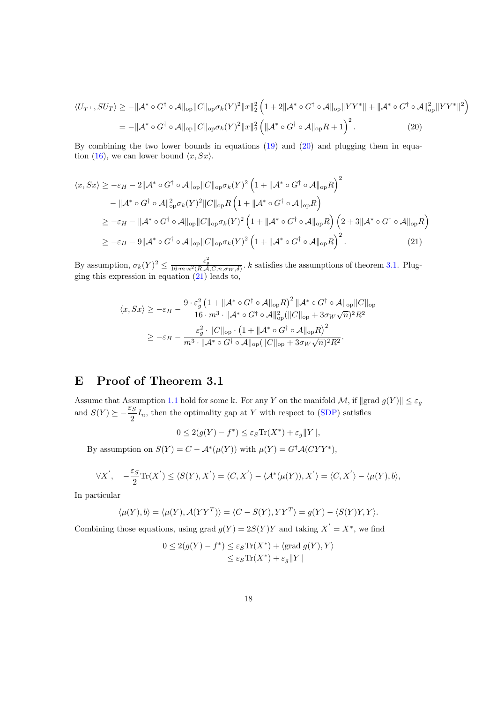<span id="page-17-1"></span>
$$
\langle U_{T^{\perp}}, SU_T \rangle \ge - \| \mathcal{A}^* \circ G^{\dagger} \circ \mathcal{A} \|_{\text{op}} \| C \|_{\text{op}} \sigma_k(Y)^2 \|x\|_2^2 \left( 1 + 2 \| \mathcal{A}^* \circ G^{\dagger} \circ \mathcal{A} \|_{\text{op}} \| Y Y^* \| + \| \mathcal{A}^* \circ G^{\dagger} \circ \mathcal{A} \|_{\text{op}}^2 \| Y Y^* \|^2 \right)
$$
  
= 
$$
- \| \mathcal{A}^* \circ G^{\dagger} \circ \mathcal{A} \|_{\text{op}} \| C \|_{\text{op}} \sigma_k(Y)^2 \|x\|_2^2 \left( \| \mathcal{A}^* \circ G^{\dagger} \circ \mathcal{A} \|_{\text{op}} R + 1 \right)^2.
$$
 (20)

By combining the two lower bounds in equations [\(19\)](#page-16-1) and [\(20\)](#page-17-1) and plugging them in equa-tion [\(16\)](#page-16-2), we can lower bound  $\langle x, Sx \rangle$ .

$$
\langle x, Sx \rangle \ge -\varepsilon_H - 2\|\mathcal{A}^* \circ G^\dagger \circ \mathcal{A}\|_{\text{op}} \|C\|_{\text{op}} \sigma_k(Y)^2 \left(1 + \|\mathcal{A}^* \circ G^\dagger \circ \mathcal{A}\|_{\text{op}} R\right)^2
$$
  

$$
- \|\mathcal{A}^* \circ G^\dagger \circ \mathcal{A}\|_{\text{op}}^2 \sigma_k(Y)^2 \|C\|_{\text{op}} R \left(1 + \|\mathcal{A}^* \circ G^\dagger \circ \mathcal{A}\|_{\text{op}} R\right)
$$
  

$$
\ge -\varepsilon_H - \|\mathcal{A}^* \circ G^\dagger \circ \mathcal{A}\|_{\text{op}} \|C\|_{\text{op}} \sigma_k(Y)^2 \left(1 + \|\mathcal{A}^* \circ G^\dagger \circ \mathcal{A}\|_{\text{op}} R\right) \left(2 + 3\|\mathcal{A}^* \circ G^\dagger \circ \mathcal{A}\|_{\text{op}} R\right)
$$
  

$$
\ge -\varepsilon_H - 9\|\mathcal{A}^* \circ G^\dagger \circ \mathcal{A}\|_{\text{op}} \|C\|_{\text{op}} \sigma_k(Y)^2 \left(1 + \|\mathcal{A}^* \circ G^\dagger \circ \mathcal{A}\|_{\text{op}} R\right)^2.
$$
 (21)

By assumption,  $\sigma_k(Y)^2 \leq \frac{\varepsilon_g^2}{16 \cdot m \cdot \kappa^2(R,A,C,n,\sigma_W,\delta)}$ . k satisfies the assumptions of theorem [3.1.](#page-6-0) Plugging this expression in equation [\(21\)](#page-17-2) leads to,

<span id="page-17-2"></span>
$$
\langle x, Sx \rangle \ge -\varepsilon_H - \frac{9 \cdot \varepsilon_g^2 \left(1 + \|\mathcal{A}^* \circ G^\dagger \circ \mathcal{A}\|_{\text{op}} R\right)^2 \|\mathcal{A}^* \circ G^\dagger \circ \mathcal{A}\|_{\text{op}} \|C\|_{\text{op}}}{16 \cdot m^3 \cdot \|\mathcal{A}^* \circ G^\dagger \circ \mathcal{A}\|_{\text{op}}^2 (\|C\|_{\text{op}} + 3\sigma_W \sqrt{n})^2 R^2}
$$
  

$$
\ge -\varepsilon_H - \frac{\varepsilon_g^2 \cdot \|C\|_{\text{op}} \cdot \left(1 + \|\mathcal{A}^* \circ G^\dagger \circ \mathcal{A}\|_{\text{op}} R\right)^2}{m^3 \cdot \|\mathcal{A}^* \circ G^\dagger \circ \mathcal{A}\|_{\text{op}} (\|C\|_{\text{op}} + 3\sigma_W \sqrt{n})^2 R^2}.
$$

# <span id="page-17-0"></span>E Proof of Theorem 3.1

Assume that Assumption [1.1](#page-1-1) hold for some k. For any Y on the manifold  $\mathcal{M}$ , if  $\|\text{grad } g(Y)\| \leq \varepsilon_g$ and  $S(Y) \succeq -\frac{\varepsilon_S}{2}$  $\frac{1}{2}I_n$ , then the optimality gap at Y with respect to [\(SDP\)](#page-0-0) satisfies

$$
0 \le 2(g(Y) - f^*) \le \varepsilon_S \text{Tr}(X^*) + \varepsilon_g ||Y||,
$$

By assumption on  $S(Y) = C - \mathcal{A}^*(\mu(Y))$  with  $\mu(Y) = G^{\dagger} \mathcal{A}(CYY^*)$ ,

$$
\forall X', \quad -\frac{\varepsilon_S}{2} \text{Tr}(X') \le \langle S(Y), X' \rangle = \langle C, X' \rangle - \langle A^*(\mu(Y)), X' \rangle = \langle C, X' \rangle - \langle \mu(Y), b \rangle,
$$

In particular

$$
\langle \mu(Y), b \rangle = \langle \mu(Y), \mathcal{A}(YY^T) \rangle = \langle C - S(Y), YY^T \rangle = g(Y) - \langle S(Y)Y, Y \rangle.
$$

Combining those equations, using grad  $g(Y) = 2S(Y)Y$  and taking  $X' = X^*$ , we find

$$
0 \le 2(g(Y) - f^*) \le \varepsilon_S \text{Tr}(X^*) + \langle \text{grad } g(Y), Y \rangle
$$
  

$$
\le \varepsilon_S \text{Tr}(X^*) + \varepsilon_g ||Y||
$$